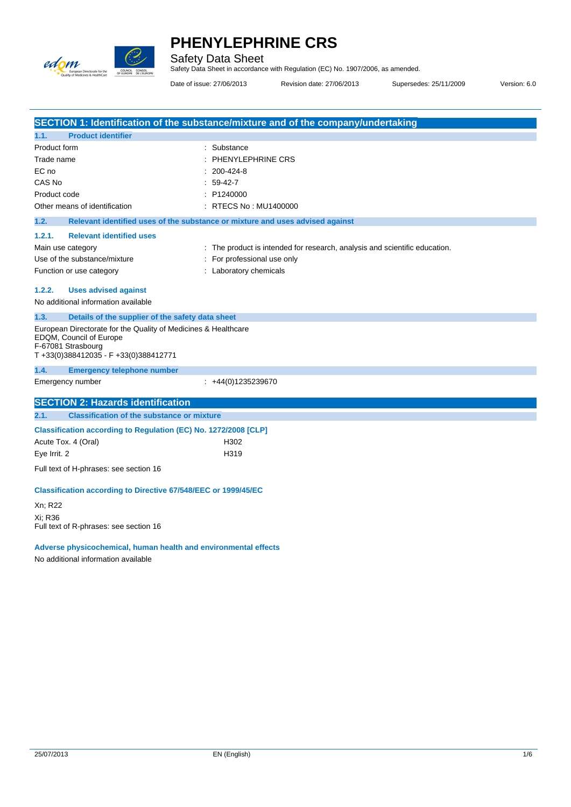

Safety Data Sheet Safety Data Sheet in accordance with Regulation (EC) No. 1907/2006, as amended.

Date of issue: 27/06/2013 Revision date: 27/06/2013 Supersedes: 25/11/2009 Version: 6.0

|                                                                                                                 | SECTION 1: Identification of the substance/mixture and of the company/undertaking |
|-----------------------------------------------------------------------------------------------------------------|-----------------------------------------------------------------------------------|
| <b>Product identifier</b><br>1.1.                                                                               |                                                                                   |
| Product form                                                                                                    | : Substance                                                                       |
| Trade name                                                                                                      | $:$ PHENYLEPHRINE CRS                                                             |
| EC no                                                                                                           | 200-424-8                                                                         |
| CAS No                                                                                                          | 59-42-7                                                                           |
| Product code                                                                                                    | : P1240000                                                                        |
| Other means of identification                                                                                   | : RTECS No : MU1400000                                                            |
| 1.2.                                                                                                            | Relevant identified uses of the substance or mixture and uses advised against     |
| 1.2.1.<br><b>Relevant identified uses</b>                                                                       |                                                                                   |
| Main use category                                                                                               | : The product is intended for research, analysis and scientific education.        |
| Use of the substance/mixture                                                                                    | For professional use only                                                         |
| Function or use category                                                                                        | : Laboratory chemicals                                                            |
|                                                                                                                 |                                                                                   |
| <b>Uses advised against</b><br>1.2.2.                                                                           |                                                                                   |
| No additional information available                                                                             |                                                                                   |
| 1.3.<br>Details of the supplier of the safety data sheet                                                        |                                                                                   |
| European Directorate for the Quality of Medicines & Healthcare<br>EDQM, Council of Europe<br>F-67081 Strasbourg |                                                                                   |
| T+33(0)388412035 - F+33(0)388412771                                                                             |                                                                                   |
| <b>Emergency telephone number</b><br>1.4.                                                                       |                                                                                   |
| Emergency number                                                                                                | $\div$ +44(0)1235239670                                                           |
| <b>SECTION 2: Hazards identification</b>                                                                        |                                                                                   |
| 2.1.<br><b>Classification of the substance or mixture</b>                                                       |                                                                                   |
| Classification according to Regulation (EC) No. 1272/2008 [CLP]                                                 |                                                                                   |
| Acute Tox. 4 (Oral)                                                                                             | H302                                                                              |
| Eye Irrit. 2                                                                                                    | H319                                                                              |
|                                                                                                                 |                                                                                   |
| Full text of H-phrases: see section 16                                                                          |                                                                                   |
| Classification according to Directive 67/548/EEC or 1999/45/EC                                                  |                                                                                   |
| Xn; R22                                                                                                         |                                                                                   |
| Xi: R36                                                                                                         |                                                                                   |
| Full text of R-phrases: see section 16                                                                          |                                                                                   |
| Adverse physicochemical, human health and environmental effects<br>No additional information available          |                                                                                   |
|                                                                                                                 |                                                                                   |
|                                                                                                                 |                                                                                   |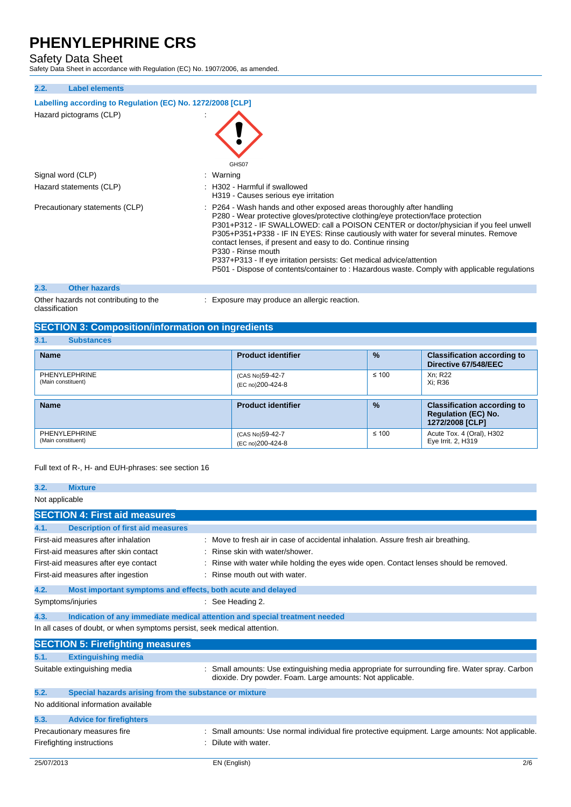Safety Data Sheet Safety Data Sheet in accordance with Regulation (EC) No. 1907/2006, as amended.

| 2.2.<br><b>Label elements</b>                                                         |                                                                                                                                                                                                                                                                                                                                                                                                                                                                                                                                                                                                         |
|---------------------------------------------------------------------------------------|---------------------------------------------------------------------------------------------------------------------------------------------------------------------------------------------------------------------------------------------------------------------------------------------------------------------------------------------------------------------------------------------------------------------------------------------------------------------------------------------------------------------------------------------------------------------------------------------------------|
| Labelling according to Regulation (EC) No. 1272/2008 [CLP]<br>Hazard pictograms (CLP) |                                                                                                                                                                                                                                                                                                                                                                                                                                                                                                                                                                                                         |
|                                                                                       | GHS07                                                                                                                                                                                                                                                                                                                                                                                                                                                                                                                                                                                                   |
| Signal word (CLP)                                                                     | : Warning                                                                                                                                                                                                                                                                                                                                                                                                                                                                                                                                                                                               |
| Hazard statements (CLP)                                                               | : H302 - Harmful if swallowed<br>H319 - Causes serious eye irritation                                                                                                                                                                                                                                                                                                                                                                                                                                                                                                                                   |
| Precautionary statements (CLP)                                                        | : P264 - Wash hands and other exposed areas thoroughly after handling<br>P280 - Wear protective gloves/protective clothing/eye protection/face protection<br>P301+P312 - IF SWALLOWED: call a POISON CENTER or doctor/physician if you feel unwell<br>P305+P351+P338 - IF IN EYES: Rinse cautiously with water for several minutes. Remove<br>contact lenses, if present and easy to do. Continue rinsing<br>P330 - Rinse mouth<br>P337+P313 - If eye irritation persists: Get medical advice/attention<br>P501 - Dispose of contents/container to: Hazardous waste. Comply with applicable regulations |
|                                                                                       |                                                                                                                                                                                                                                                                                                                                                                                                                                                                                                                                                                                                         |
| 2.3.<br><b>Other hazards</b>                                                          |                                                                                                                                                                                                                                                                                                                                                                                                                                                                                                                                                                                                         |

Other hazards not contributing to the classification

: Exposure may produce an allergic reaction.

## **SECTION 3: Composition/information on ingredients**

## **3.1. Substances**

| ə. I .<br>oupsidities               |                                     |               |                                                                                     |
|-------------------------------------|-------------------------------------|---------------|-------------------------------------------------------------------------------------|
| <b>Name</b>                         | <b>Product identifier</b>           | $\frac{9}{6}$ | <b>Classification according to</b><br>Directive 67/548/EEC                          |
| PHENYLEPHRINE<br>(Main constituent) | (CAS No)59-42-7<br>(EC no)200-424-8 | $\leq 100$    | Xn: R22<br>Xi: R36                                                                  |
| <b>Name</b>                         | <b>Product identifier</b>           | $\frac{9}{6}$ | <b>Classification according to</b><br><b>Regulation (EC) No.</b><br>1272/2008 [CLP] |
| PHENYLEPHRINE<br>(Main constituent) | (CAS No)59-42-7<br>(EC no)200-424-8 | $\leq 100$    | Acute Tox. 4 (Oral), H302<br>Eye Irrit. 2, H319                                     |

## Full text of R-, H- and EUH-phrases: see section 16

| 3.2.           | <b>Mixture</b>                                                           |                                                                                                                                                           |
|----------------|--------------------------------------------------------------------------|-----------------------------------------------------------------------------------------------------------------------------------------------------------|
| Not applicable |                                                                          |                                                                                                                                                           |
|                | <b>SECTION 4: First aid measures</b>                                     |                                                                                                                                                           |
| 4.1.           | <b>Description of first aid measures</b>                                 |                                                                                                                                                           |
|                | First-aid measures after inhalation                                      | Move to fresh air in case of accidental inhalation. Assure fresh air breathing.                                                                           |
|                | First-aid measures after skin contact                                    | Rinse skin with water/shower.                                                                                                                             |
|                | First-aid measures after eye contact                                     | Rinse with water while holding the eyes wide open. Contact lenses should be removed.                                                                      |
|                | First-aid measures after ingestion                                       | Rinse mouth out with water.                                                                                                                               |
| 4.2.           | Most important symptoms and effects, both acute and delayed              |                                                                                                                                                           |
|                | Symptoms/injuries                                                        | $\therefore$ See Heading 2.                                                                                                                               |
| 4.3.           |                                                                          | Indication of any immediate medical attention and special treatment needed                                                                                |
|                | In all cases of doubt, or when symptoms persist, seek medical attention. |                                                                                                                                                           |
|                | <b>SECTION 5: Firefighting measures</b>                                  |                                                                                                                                                           |
| 5.1.           | <b>Extinguishing media</b>                                               |                                                                                                                                                           |
|                | Suitable extinguishing media                                             | Small amounts: Use extinguishing media appropriate for surrounding fire. Water spray. Carbon<br>dioxide. Dry powder. Foam. Large amounts: Not applicable. |
| 5.2.           | Special hazards arising from the substance or mixture                    |                                                                                                                                                           |
|                | No additional information available                                      |                                                                                                                                                           |
| 5.3.           | <b>Advice for firefighters</b>                                           |                                                                                                                                                           |
|                | Precautionary measures fire                                              | Small amounts: Use normal individual fire protective equipment. Large amounts: Not applicable.                                                            |
|                | Firefighting instructions                                                | Dilute with water.                                                                                                                                        |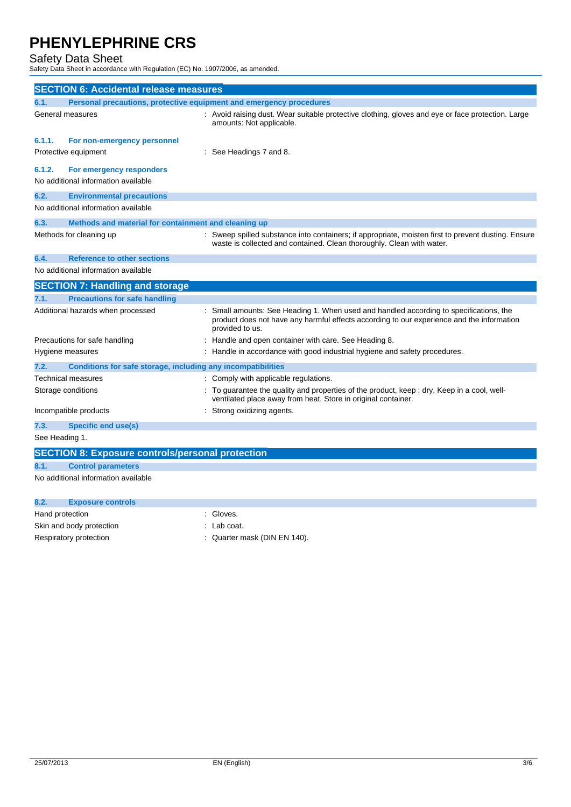Safety Data Sheet Safety Data Sheet in accordance with Regulation (EC) No. 1907/2006, as amended.

|                | <b>SECTION 6: Accidental release measures</b>                       |                                                                                                                                                                                                      |
|----------------|---------------------------------------------------------------------|------------------------------------------------------------------------------------------------------------------------------------------------------------------------------------------------------|
| 6.1.           | Personal precautions, protective equipment and emergency procedures |                                                                                                                                                                                                      |
|                | General measures                                                    | : Avoid raising dust. Wear suitable protective clothing, gloves and eye or face protection. Large<br>amounts: Not applicable.                                                                        |
| 6.1.1.         | For non-emergency personnel                                         |                                                                                                                                                                                                      |
|                | Protective equipment                                                | See Headings 7 and 8.                                                                                                                                                                                |
| 6.1.2.         | For emergency responders                                            |                                                                                                                                                                                                      |
|                | No additional information available                                 |                                                                                                                                                                                                      |
| 6.2.           | <b>Environmental precautions</b>                                    |                                                                                                                                                                                                      |
|                | No additional information available                                 |                                                                                                                                                                                                      |
| 6.3.           | Methods and material for containment and cleaning up                |                                                                                                                                                                                                      |
|                | Methods for cleaning up                                             | : Sweep spilled substance into containers; if appropriate, moisten first to prevent dusting. Ensure<br>waste is collected and contained. Clean thoroughly. Clean with water.                         |
| 6.4.           | <b>Reference to other sections</b>                                  |                                                                                                                                                                                                      |
|                | No additional information available                                 |                                                                                                                                                                                                      |
|                | <b>SECTION 7: Handling and storage</b>                              |                                                                                                                                                                                                      |
| 7.1.           | <b>Precautions for safe handling</b>                                |                                                                                                                                                                                                      |
|                | Additional hazards when processed                                   | Small amounts: See Heading 1. When used and handled according to specifications, the<br>product does not have any harmful effects according to our experience and the information<br>provided to us. |
|                | Precautions for safe handling                                       | Handle and open container with care. See Heading 8.                                                                                                                                                  |
|                | Hygiene measures                                                    | : Handle in accordance with good industrial hygiene and safety procedures.                                                                                                                           |
| 7.2.           | Conditions for safe storage, including any incompatibilities        |                                                                                                                                                                                                      |
|                | Technical measures                                                  | : Comply with applicable regulations.                                                                                                                                                                |
|                | Storage conditions                                                  | To guarantee the quality and properties of the product, keep : dry, Keep in a cool, well-<br>ventilated place away from heat. Store in original container.                                           |
|                | Incompatible products                                               | Strong oxidizing agents.                                                                                                                                                                             |
| 7.3.           | <b>Specific end use(s)</b>                                          |                                                                                                                                                                                                      |
| See Heading 1. |                                                                     |                                                                                                                                                                                                      |
|                | <b>SECTION 8: Exposure controls/personal protection</b>             |                                                                                                                                                                                                      |
| 8.1.           | <b>Control parameters</b>                                           |                                                                                                                                                                                                      |
|                | No additional information available                                 |                                                                                                                                                                                                      |

| 8.2.            | <b>Exposure controls</b> |                              |
|-----------------|--------------------------|------------------------------|
| Hand protection |                          | Gloves.                      |
|                 | Skin and body protection | $\therefore$ Lab coat.       |
|                 | Respiratory protection   | : Quarter mask (DIN EN 140). |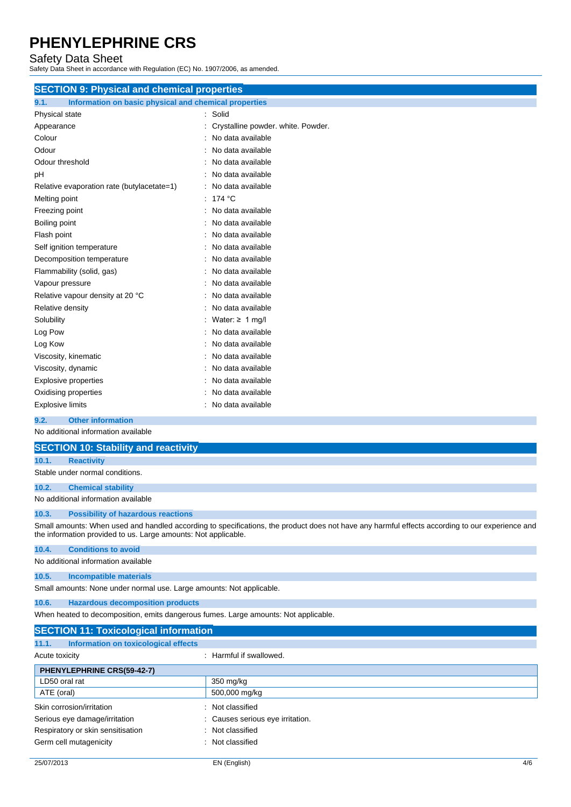Safety Data Sheet Safety Data Sheet in accordance with Regulation (EC) No. 1907/2006, as amended.

| <b>SECTION 9: Physical and chemical properties</b>            |                                    |
|---------------------------------------------------------------|------------------------------------|
| 9.1.<br>Information on basic physical and chemical properties |                                    |
| Physical state                                                | Solid<br>÷                         |
| Appearance                                                    | Crystalline powder. white. Powder. |
| Colour                                                        | No data available                  |
| Odour                                                         | No data available                  |
| Odour threshold                                               | No data available                  |
| рH                                                            | No data available                  |
| Relative evaporation rate (butylacetate=1)                    | No data available                  |
| Melting point                                                 | 174 °C<br>÷                        |
| Freezing point                                                | No data available                  |
| Boiling point                                                 | No data available                  |
| Flash point                                                   | No data available                  |
| Self ignition temperature                                     | No data available                  |
| Decomposition temperature                                     | No data available                  |
| Flammability (solid, gas)                                     | No data available                  |
| Vapour pressure                                               | No data available                  |
| Relative vapour density at 20 °C                              | No data available                  |
| Relative density                                              | No data available                  |
| Solubility                                                    | Water: $\geq 1$ mg/l               |
| Log Pow                                                       | No data available                  |
| Log Kow                                                       | No data available                  |
| Viscosity, kinematic                                          | No data available                  |
| Viscosity, dynamic                                            | No data available                  |
| <b>Explosive properties</b>                                   | No data available                  |
| Oxidising properties                                          | No data available                  |
| <b>Explosive limits</b>                                       | No data available                  |
| 9.2.<br><b>Other information</b>                              |                                    |

No additional information available

|       | <b>SECTION 10: Stability and reactivity</b>                                                                                                                                                                       |
|-------|-------------------------------------------------------------------------------------------------------------------------------------------------------------------------------------------------------------------|
| 10.1. | <b>Reactivity</b>                                                                                                                                                                                                 |
|       | Stable under normal conditions.                                                                                                                                                                                   |
| 10.2. | <b>Chemical stability</b>                                                                                                                                                                                         |
|       | No additional information available                                                                                                                                                                               |
| 10.3. | <b>Possibility of hazardous reactions</b>                                                                                                                                                                         |
|       | Small amounts: When used and handled according to specifications, the product does not have any harmful effects according to our experience and<br>the information provided to us. Large amounts: Not applicable. |
| 10.4. | <b>Conditions to avoid</b>                                                                                                                                                                                        |
|       | No additional information available                                                                                                                                                                               |
| 10.5. | <b>Incompatible materials</b>                                                                                                                                                                                     |
|       | Small amounts: None under normal use. Large amounts: Not applicable.                                                                                                                                              |
| 10.6. | <b>Hazardous decomposition products</b>                                                                                                                                                                           |
|       | When heated to decomposition, emits dangerous fumes. Large amounts: Not applicable.                                                                                                                               |

| <b>SECTION 11: Toxicological information</b>  |                                  |
|-----------------------------------------------|----------------------------------|
| Information on toxicological effects<br>11.1. |                                  |
| Acute toxicity                                | : Harmful if swallowed.          |
| PHENYLEPHRINE CRS(59-42-7)                    |                                  |
| LD50 oral rat                                 | 350 mg/kg                        |
| ATE (oral)                                    | 500,000 mg/kg                    |
| Skin corrosion/irritation<br>$\bullet$        | Not classified                   |
| Serious eye damage/irritation                 | : Causes serious eye irritation. |
| Respiratory or skin sensitisation             | : Not classified                 |
| Germ cell mutagenicity<br>$\bullet$           | Not classified                   |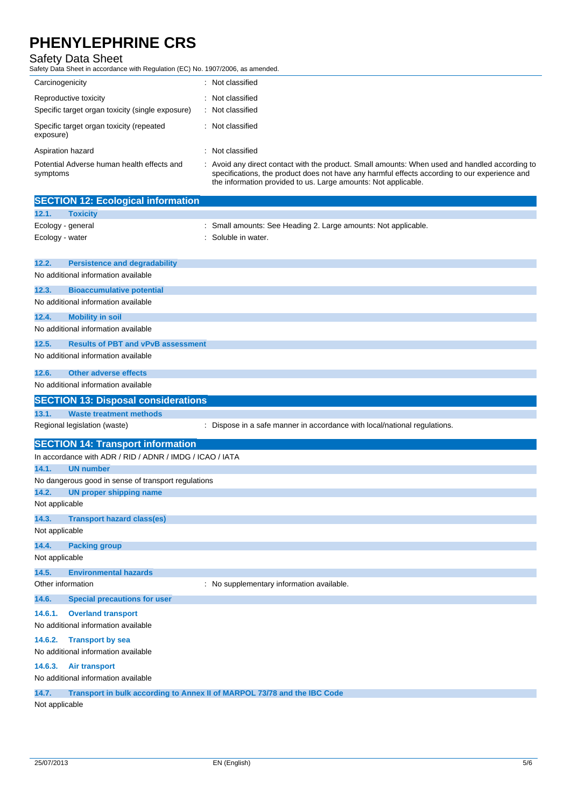Safety Data Sheet Safety Data Sheet in accordance with Regulation (EC) No. 1907/2006, as amended.

| Carcinogenicity                                                           | Not classified                                                                                                                                                                                |
|---------------------------------------------------------------------------|-----------------------------------------------------------------------------------------------------------------------------------------------------------------------------------------------|
| Reproductive toxicity<br>Specific target organ toxicity (single exposure) | Not classified<br>Not classified                                                                                                                                                              |
| Specific target organ toxicity (repeated<br>exposure)                     | Not classified                                                                                                                                                                                |
| Aspiration hazard                                                         | Not classified                                                                                                                                                                                |
| Potential Adverse human health effects and<br>symptoms                    | Avoid any direct contact with the product. Small amounts: When used and handled according to<br>specifications, the product does not have any harmful effects according to our experience and |

| <b>SECTION 12: Ecological information</b><br><b>Toxicity</b><br>Ecology - general<br>Small amounts: See Heading 2. Large amounts: Not applicable.<br>Soluble in water.<br>Ecology - water<br><b>Persistence and degradability</b><br>No additional information available<br><b>Bioaccumulative potential</b><br>No additional information available<br><b>Mobility in soil</b><br>No additional information available<br><b>Results of PBT and vPvB assessment</b><br>No additional information available<br><b>Other adverse effects</b><br>No additional information available<br><b>SECTION 13: Disposal considerations</b><br><b>Waste treatment methods</b><br>Regional legislation (waste)<br>Dispose in a safe manner in accordance with local/national regulations.<br><b>SECTION 14: Transport information</b><br>In accordance with ADR / RID / ADNR / IMDG / ICAO / IATA<br>14.1.<br><b>UN number</b><br>No dangerous good in sense of transport regulations<br><b>UN proper shipping name</b><br>Not applicable<br><b>Transport hazard class(es)</b><br>Not applicable<br><b>Packing group</b><br>Not applicable<br><b>Environmental hazards</b><br>Other information<br>: No supplementary information available.<br><b>Special precautions for user</b><br>14.6.1. Overland transport<br>No additional information available<br><b>Transport by sea</b><br>No additional information available |         |                      | the information provided to us. Large amounts: Not applicable. |
|--------------------------------------------------------------------------------------------------------------------------------------------------------------------------------------------------------------------------------------------------------------------------------------------------------------------------------------------------------------------------------------------------------------------------------------------------------------------------------------------------------------------------------------------------------------------------------------------------------------------------------------------------------------------------------------------------------------------------------------------------------------------------------------------------------------------------------------------------------------------------------------------------------------------------------------------------------------------------------------------------------------------------------------------------------------------------------------------------------------------------------------------------------------------------------------------------------------------------------------------------------------------------------------------------------------------------------------------------------------------------------------------------------------|---------|----------------------|----------------------------------------------------------------|
|                                                                                                                                                                                                                                                                                                                                                                                                                                                                                                                                                                                                                                                                                                                                                                                                                                                                                                                                                                                                                                                                                                                                                                                                                                                                                                                                                                                                              |         |                      |                                                                |
|                                                                                                                                                                                                                                                                                                                                                                                                                                                                                                                                                                                                                                                                                                                                                                                                                                                                                                                                                                                                                                                                                                                                                                                                                                                                                                                                                                                                              | 12.1.   |                      |                                                                |
|                                                                                                                                                                                                                                                                                                                                                                                                                                                                                                                                                                                                                                                                                                                                                                                                                                                                                                                                                                                                                                                                                                                                                                                                                                                                                                                                                                                                              |         |                      |                                                                |
|                                                                                                                                                                                                                                                                                                                                                                                                                                                                                                                                                                                                                                                                                                                                                                                                                                                                                                                                                                                                                                                                                                                                                                                                                                                                                                                                                                                                              |         |                      |                                                                |
|                                                                                                                                                                                                                                                                                                                                                                                                                                                                                                                                                                                                                                                                                                                                                                                                                                                                                                                                                                                                                                                                                                                                                                                                                                                                                                                                                                                                              |         |                      |                                                                |
|                                                                                                                                                                                                                                                                                                                                                                                                                                                                                                                                                                                                                                                                                                                                                                                                                                                                                                                                                                                                                                                                                                                                                                                                                                                                                                                                                                                                              | 12.2.   |                      |                                                                |
|                                                                                                                                                                                                                                                                                                                                                                                                                                                                                                                                                                                                                                                                                                                                                                                                                                                                                                                                                                                                                                                                                                                                                                                                                                                                                                                                                                                                              |         |                      |                                                                |
|                                                                                                                                                                                                                                                                                                                                                                                                                                                                                                                                                                                                                                                                                                                                                                                                                                                                                                                                                                                                                                                                                                                                                                                                                                                                                                                                                                                                              | 12.3.   |                      |                                                                |
|                                                                                                                                                                                                                                                                                                                                                                                                                                                                                                                                                                                                                                                                                                                                                                                                                                                                                                                                                                                                                                                                                                                                                                                                                                                                                                                                                                                                              |         |                      |                                                                |
|                                                                                                                                                                                                                                                                                                                                                                                                                                                                                                                                                                                                                                                                                                                                                                                                                                                                                                                                                                                                                                                                                                                                                                                                                                                                                                                                                                                                              | 12.4.   |                      |                                                                |
|                                                                                                                                                                                                                                                                                                                                                                                                                                                                                                                                                                                                                                                                                                                                                                                                                                                                                                                                                                                                                                                                                                                                                                                                                                                                                                                                                                                                              |         |                      |                                                                |
|                                                                                                                                                                                                                                                                                                                                                                                                                                                                                                                                                                                                                                                                                                                                                                                                                                                                                                                                                                                                                                                                                                                                                                                                                                                                                                                                                                                                              | 12.5.   |                      |                                                                |
|                                                                                                                                                                                                                                                                                                                                                                                                                                                                                                                                                                                                                                                                                                                                                                                                                                                                                                                                                                                                                                                                                                                                                                                                                                                                                                                                                                                                              |         |                      |                                                                |
|                                                                                                                                                                                                                                                                                                                                                                                                                                                                                                                                                                                                                                                                                                                                                                                                                                                                                                                                                                                                                                                                                                                                                                                                                                                                                                                                                                                                              | 12.6.   |                      |                                                                |
|                                                                                                                                                                                                                                                                                                                                                                                                                                                                                                                                                                                                                                                                                                                                                                                                                                                                                                                                                                                                                                                                                                                                                                                                                                                                                                                                                                                                              |         |                      |                                                                |
|                                                                                                                                                                                                                                                                                                                                                                                                                                                                                                                                                                                                                                                                                                                                                                                                                                                                                                                                                                                                                                                                                                                                                                                                                                                                                                                                                                                                              |         |                      |                                                                |
|                                                                                                                                                                                                                                                                                                                                                                                                                                                                                                                                                                                                                                                                                                                                                                                                                                                                                                                                                                                                                                                                                                                                                                                                                                                                                                                                                                                                              | 13.1.   |                      |                                                                |
|                                                                                                                                                                                                                                                                                                                                                                                                                                                                                                                                                                                                                                                                                                                                                                                                                                                                                                                                                                                                                                                                                                                                                                                                                                                                                                                                                                                                              |         |                      |                                                                |
|                                                                                                                                                                                                                                                                                                                                                                                                                                                                                                                                                                                                                                                                                                                                                                                                                                                                                                                                                                                                                                                                                                                                                                                                                                                                                                                                                                                                              |         |                      |                                                                |
|                                                                                                                                                                                                                                                                                                                                                                                                                                                                                                                                                                                                                                                                                                                                                                                                                                                                                                                                                                                                                                                                                                                                                                                                                                                                                                                                                                                                              |         |                      |                                                                |
|                                                                                                                                                                                                                                                                                                                                                                                                                                                                                                                                                                                                                                                                                                                                                                                                                                                                                                                                                                                                                                                                                                                                                                                                                                                                                                                                                                                                              |         |                      |                                                                |
|                                                                                                                                                                                                                                                                                                                                                                                                                                                                                                                                                                                                                                                                                                                                                                                                                                                                                                                                                                                                                                                                                                                                                                                                                                                                                                                                                                                                              |         |                      |                                                                |
|                                                                                                                                                                                                                                                                                                                                                                                                                                                                                                                                                                                                                                                                                                                                                                                                                                                                                                                                                                                                                                                                                                                                                                                                                                                                                                                                                                                                              | 14.2.   |                      |                                                                |
|                                                                                                                                                                                                                                                                                                                                                                                                                                                                                                                                                                                                                                                                                                                                                                                                                                                                                                                                                                                                                                                                                                                                                                                                                                                                                                                                                                                                              |         |                      |                                                                |
|                                                                                                                                                                                                                                                                                                                                                                                                                                                                                                                                                                                                                                                                                                                                                                                                                                                                                                                                                                                                                                                                                                                                                                                                                                                                                                                                                                                                              | 14.3.   |                      |                                                                |
|                                                                                                                                                                                                                                                                                                                                                                                                                                                                                                                                                                                                                                                                                                                                                                                                                                                                                                                                                                                                                                                                                                                                                                                                                                                                                                                                                                                                              |         |                      |                                                                |
|                                                                                                                                                                                                                                                                                                                                                                                                                                                                                                                                                                                                                                                                                                                                                                                                                                                                                                                                                                                                                                                                                                                                                                                                                                                                                                                                                                                                              |         |                      |                                                                |
|                                                                                                                                                                                                                                                                                                                                                                                                                                                                                                                                                                                                                                                                                                                                                                                                                                                                                                                                                                                                                                                                                                                                                                                                                                                                                                                                                                                                              |         |                      |                                                                |
|                                                                                                                                                                                                                                                                                                                                                                                                                                                                                                                                                                                                                                                                                                                                                                                                                                                                                                                                                                                                                                                                                                                                                                                                                                                                                                                                                                                                              | 14.4.   |                      |                                                                |
|                                                                                                                                                                                                                                                                                                                                                                                                                                                                                                                                                                                                                                                                                                                                                                                                                                                                                                                                                                                                                                                                                                                                                                                                                                                                                                                                                                                                              |         |                      |                                                                |
|                                                                                                                                                                                                                                                                                                                                                                                                                                                                                                                                                                                                                                                                                                                                                                                                                                                                                                                                                                                                                                                                                                                                                                                                                                                                                                                                                                                                              | 14.5.   |                      |                                                                |
|                                                                                                                                                                                                                                                                                                                                                                                                                                                                                                                                                                                                                                                                                                                                                                                                                                                                                                                                                                                                                                                                                                                                                                                                                                                                                                                                                                                                              |         |                      |                                                                |
|                                                                                                                                                                                                                                                                                                                                                                                                                                                                                                                                                                                                                                                                                                                                                                                                                                                                                                                                                                                                                                                                                                                                                                                                                                                                                                                                                                                                              | 14.6.   |                      |                                                                |
|                                                                                                                                                                                                                                                                                                                                                                                                                                                                                                                                                                                                                                                                                                                                                                                                                                                                                                                                                                                                                                                                                                                                                                                                                                                                                                                                                                                                              |         |                      |                                                                |
|                                                                                                                                                                                                                                                                                                                                                                                                                                                                                                                                                                                                                                                                                                                                                                                                                                                                                                                                                                                                                                                                                                                                                                                                                                                                                                                                                                                                              |         |                      |                                                                |
|                                                                                                                                                                                                                                                                                                                                                                                                                                                                                                                                                                                                                                                                                                                                                                                                                                                                                                                                                                                                                                                                                                                                                                                                                                                                                                                                                                                                              | 14.6.2. |                      |                                                                |
| No additional information available                                                                                                                                                                                                                                                                                                                                                                                                                                                                                                                                                                                                                                                                                                                                                                                                                                                                                                                                                                                                                                                                                                                                                                                                                                                                                                                                                                          | 14.6.3. | <b>Air transport</b> |                                                                |

**14.7. Transport in bulk according to Annex II of MARPOL 73/78 and the IBC Code**

Not applicable